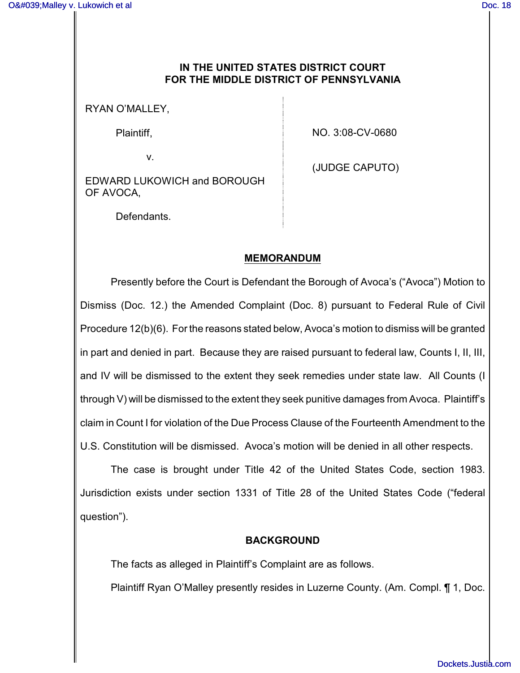## **IN THE UNITED STATES DISTRICT COURT FOR THE MIDDLE DISTRICT OF PENNSYLVANIA**

RYAN O'MALLEY,

Plaintiff,

NO. 3:08-CV-0680

EDWARD LUKOWICH and BOROUGH OF AVOCA,

(JUDGE CAPUTO)

Defendants.

v.

## **MEMORANDUM**

Presently before the Court is Defendant the Borough of Avoca's ("Avoca") Motion to Dismiss (Doc. 12.) the Amended Complaint (Doc. 8) pursuant to Federal Rule of Civil Procedure 12(b)(6). For the reasons stated below, Avoca's motion to dismiss will be granted in part and denied in part. Because they are raised pursuant to federal law, Counts I, II, III, and IV will be dismissed to the extent they seek remedies under state law. All Counts (I through V) will be dismissed to the extent they seek punitive damages from Avoca. Plaintiff's claim in Count I for violation of the Due Process Clause of the Fourteenth Amendment to the U.S. Constitution will be dismissed. Avoca's motion will be denied in all other respects.

The case is brought under Title 42 of the United States Code, section 1983. Jurisdiction exists under section 1331 of Title 28 of the United States Code ("federal question").

## **BACKGROUND**

The facts as alleged in Plaintiff's Complaint are as follows.

Plaintiff Ryan O'Malley presently resides in Luzerne County. (Am. Compl. ¶ 1, Doc.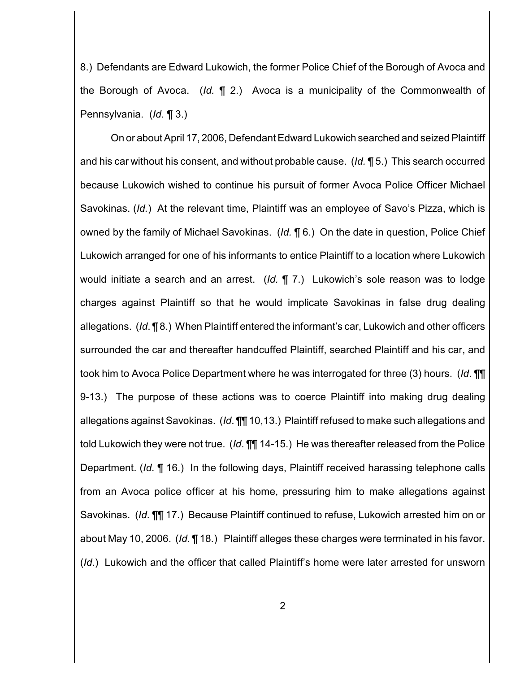8.) Defendants are Edward Lukowich, the former Police Chief of the Borough of Avoca and the Borough of Avoca. (*Id.* ¶ 2.) Avoca is a municipality of the Commonwealth of Pennsylvania. (*Id*. ¶ 3.)

On or about April 17, 2006, Defendant Edward Lukowich searched and seized Plaintiff and his car without his consent, and without probable cause. (*Id.* ¶ 5.) This search occurred because Lukowich wished to continue his pursuit of former Avoca Police Officer Michael Savokinas. (*Id.*) At the relevant time, Plaintiff was an employee of Savo's Pizza, which is owned by the family of Michael Savokinas. (*Id.* ¶ 6.) On the date in question, Police Chief Lukowich arranged for one of his informants to entice Plaintiff to a location where Lukowich would initiate a search and an arrest. (*Id.* ¶ 7.) Lukowich's sole reason was to lodge charges against Plaintiff so that he would implicate Savokinas in false drug dealing allegations. (*Id*. ¶ 8.) When Plaintiff entered the informant's car, Lukowich and other officers surrounded the car and thereafter handcuffed Plaintiff, searched Plaintiff and his car, and took him to Avoca Police Department where he was interrogated for three (3) hours. (*Id*. ¶¶ 9-13.) The purpose of these actions was to coerce Plaintiff into making drug dealing allegations against Savokinas. (*Id*. ¶¶ 10,13.) Plaintiff refused to make such allegations and told Lukowich they were not true. (*Id*. ¶¶ 14-15.) He was thereafter released from the Police Department. (*Id*. ¶ 16.) In the following days, Plaintiff received harassing telephone calls from an Avoca police officer at his home, pressuring him to make allegations against Savokinas. (*Id*. ¶¶ 17.) Because Plaintiff continued to refuse, Lukowich arrested him on or about May 10, 2006. (*Id*. ¶ 18.) Plaintiff alleges these charges were terminated in his favor. (*Id*.) Lukowich and the officer that called Plaintiff's home were later arrested for unsworn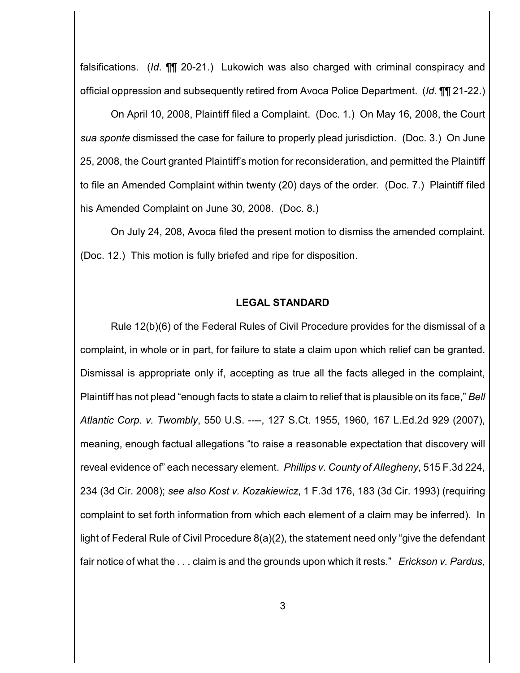falsifications. (*Id*. ¶¶ 20-21.) Lukowich was also charged with criminal conspiracy and official oppression and subsequently retired from Avoca Police Department. (*Id*. ¶¶ 21-22.)

On April 10, 2008, Plaintiff filed a Complaint. (Doc. 1.) On May 16, 2008, the Court *sua sponte* dismissed the case for failure to properly plead jurisdiction. (Doc. 3.) On June 25, 2008, the Court granted Plaintiff's motion for reconsideration, and permitted the Plaintiff to file an Amended Complaint within twenty (20) days of the order. (Doc. 7.) Plaintiff filed his Amended Complaint on June 30, 2008. (Doc. 8.)

On July 24, 208, Avoca filed the present motion to dismiss the amended complaint. (Doc. 12.) This motion is fully briefed and ripe for disposition.

#### **LEGAL STANDARD**

Rule 12(b)(6) of the Federal Rules of Civil Procedure provides for the dismissal of a complaint, in whole or in part, for failure to state a claim upon which relief can be granted. Dismissal is appropriate only if, accepting as true all the facts alleged in the complaint, Plaintiff has not plead "enough facts to state a claim to relief that is plausible on its face," *Bell Atlantic Corp. v. Twombly*, 550 U.S. ----, 127 S.Ct. 1955, 1960, 167 L.Ed.2d 929 (2007), meaning, enough factual allegations "to raise a reasonable expectation that discovery will reveal evidence of" each necessary element. *Phillips v. County of Allegheny*, 515 F.3d 224, 234 (3d Cir. 2008); *see also Kost v. Kozakiewicz*, 1 F.3d 176, 183 (3d Cir. 1993) (requiring complaint to set forth information from which each element of a claim may be inferred). In light of Federal Rule of Civil Procedure 8(a)(2), the statement need only "give the defendant fair notice of what the . . . claim is and the grounds upon which it rests." *Erickson v. Pardus*,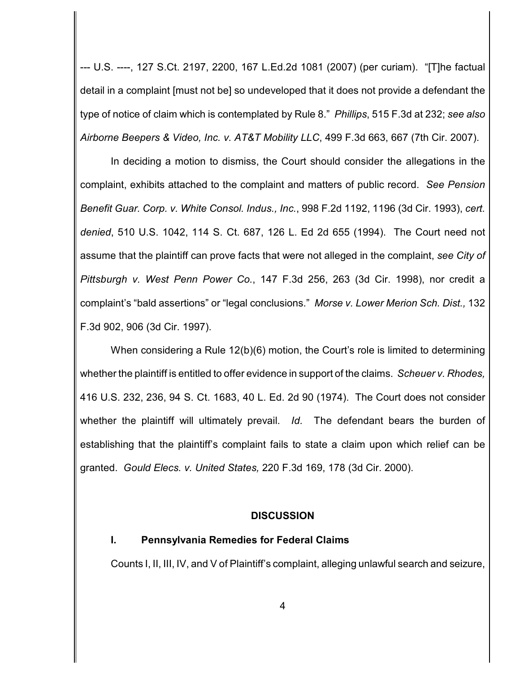--- U.S. ----, 127 S.Ct. 2197, 2200, 167 L.Ed.2d 1081 (2007) (per curiam). "[T]he factual detail in a complaint [must not be] so undeveloped that it does not provide a defendant the type of notice of claim which is contemplated by Rule 8." *Phillips*, 515 F.3d at 232; *see also Airborne Beepers & Video, Inc. v. AT&T Mobility LLC*, 499 F.3d 663, 667 (7th Cir. 2007).

In deciding a motion to dismiss, the Court should consider the allegations in the complaint, exhibits attached to the complaint and matters of public record. *See Pension Benefit Guar. Corp. v. White Consol. Indus., Inc.*, 998 F.2d 1192, 1196 (3d Cir. 1993), *cert. denied*, 510 U.S. 1042, 114 S. Ct. 687, 126 L. Ed 2d 655 (1994). The Court need not assume that the plaintiff can prove facts that were not alleged in the complaint, *see City of Pittsburgh v. West Penn Power Co.*, 147 F.3d 256, 263 (3d Cir. 1998), nor credit a complaint's "bald assertions" or "legal conclusions." *Morse v. Lower Merion Sch. Dist.,* 132 F.3d 902, 906 (3d Cir. 1997).

When considering a Rule 12(b)(6) motion, the Court's role is limited to determining whether the plaintiff is entitled to offer evidence in support of the claims. *Scheuer v. Rhodes,* 416 U.S. 232, 236, 94 S. Ct. 1683, 40 L. Ed. 2d 90 (1974). The Court does not consider whether the plaintiff will ultimately prevail. *Id.* The defendant bears the burden of establishing that the plaintiff's complaint fails to state a claim upon which relief can be granted. *Gould Elecs. v. United States,* 220 F.3d 169, 178 (3d Cir. 2000).

#### **DISCUSSION**

### **I. Pennsylvania Remedies for Federal Claims**

Counts I, II, III, IV, and V of Plaintiff's complaint, alleging unlawful search and seizure,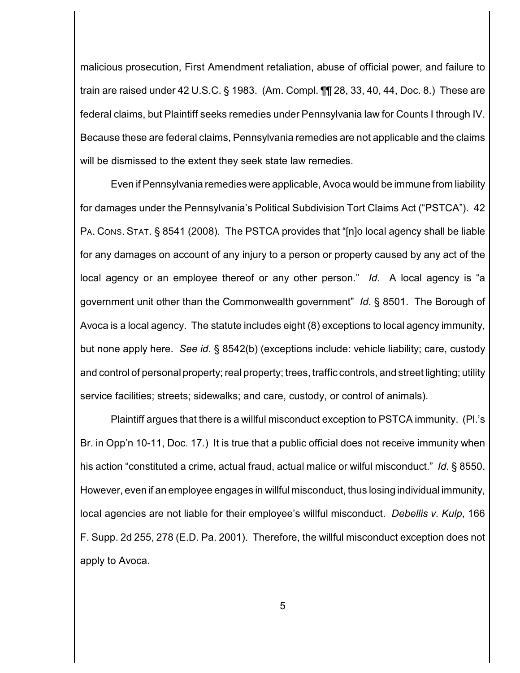malicious prosecution, First Amendment retaliation, abuse of official power, and failure to train are raised under 42 U.S.C. § 1983. (Am. Compl. ¶¶ 28, 33, 40, 44, Doc. 8.) These are federal claims, but Plaintiff seeks remedies under Pennsylvania law for Counts I through IV. Because these are federal claims, Pennsylvania remedies are not applicable and the claims will be dismissed to the extent they seek state law remedies.

Even if Pennsylvania remedies were applicable, Avoca would be immune from liability for damages under the Pennsylvania's Political Subdivision Tort Claims Act ("PSTCA"). 42 PA. CONS. STAT. § 8541 (2008). The PSTCA provides that "[n]o local agency shall be liable for any damages on account of any injury to a person or property caused by any act of the local agency or an employee thereof or any other person." *Id*. A local agency is "a government unit other than the Commonwealth government" *Id*. § 8501. The Borough of Avoca is a local agency. The statute includes eight (8) exceptions to local agency immunity, but none apply here. *See id*. § 8542(b) (exceptions include: vehicle liability; care, custody and control of personal property; real property; trees, traffic controls, and street lighting; utility service facilities; streets; sidewalks; and care, custody, or control of animals).

Plaintiff argues that there is a willful misconduct exception to PSTCA immunity. (Pl.'s Br. in Opp'n 10-11, Doc. 17.) It is true that a public official does not receive immunity when his action "constituted a crime, actual fraud, actual malice or wilful misconduct." *Id*. § 8550. However, even if an employee engages in willful misconduct, thus losing individual immunity, local agencies are not liable for their employee's willful misconduct. *Debellis v. Kulp*, 166 F. Supp. 2d 255, 278 (E.D. Pa. 2001). Therefore, the willful misconduct exception does not apply to Avoca.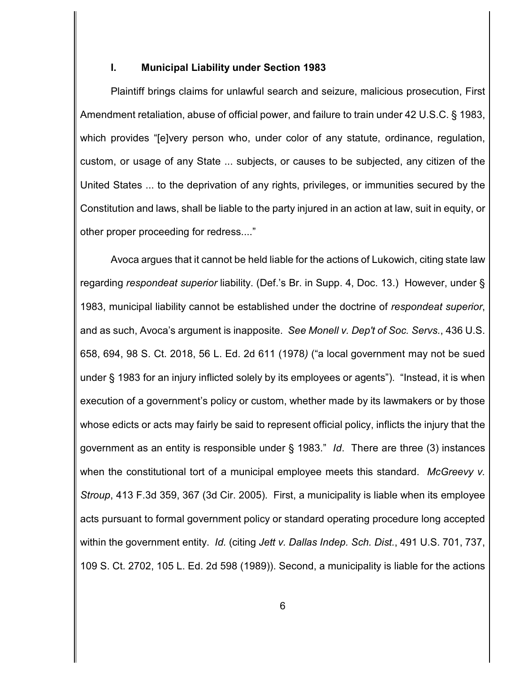### **I. Municipal Liability under Section 1983**

Plaintiff brings claims for unlawful search and seizure, malicious prosecution, First Amendment retaliation, abuse of official power, and failure to train under 42 U.S.C. § 1983, which provides "[e]very person who, under color of any statute, ordinance, regulation, custom, or usage of any State ... subjects, or causes to be subjected, any citizen of the United States ... to the deprivation of any rights, privileges, or immunities secured by the Constitution and laws, shall be liable to the party injured in an action at law, suit in equity, or other proper proceeding for redress...."

Avoca argues that it cannot be held liable for the actions of Lukowich, citing state law regarding *respondeat superior* liability. (Def.'s Br. in Supp. 4, Doc. 13.) However, under § 1983, municipal liability cannot be established under the doctrine of *respondeat superior*, and as such, Avoca's argument is inapposite. *See Monell v. Dep't of Soc. Servs.*, 436 U.S. 658, 694, 98 S. Ct. 2018, 56 L. Ed. 2d 611 (1978*)* ("a local government may not be sued under § 1983 for an injury inflicted solely by its employees or agents"). "Instead, it is when execution of a government's policy or custom, whether made by its lawmakers or by those whose edicts or acts may fairly be said to represent official policy, inflicts the injury that the government as an entity is responsible under § 1983." *Id*.There are three (3) instances when the constitutional tort of a municipal employee meets this standard. *McGreevy v. Stroup*, 413 F.3d 359, 367 (3d Cir. 2005). First, a municipality is liable when its employee acts pursuant to formal government policy or standard operating procedure long accepted within the government entity. *Id.* (citing *Jett v. Dallas Indep. Sch. Dist.*, 491 U.S. 701, 737, 109 S. Ct. 2702, 105 L. Ed. 2d 598 (1989)). Second, a municipality is liable for the actions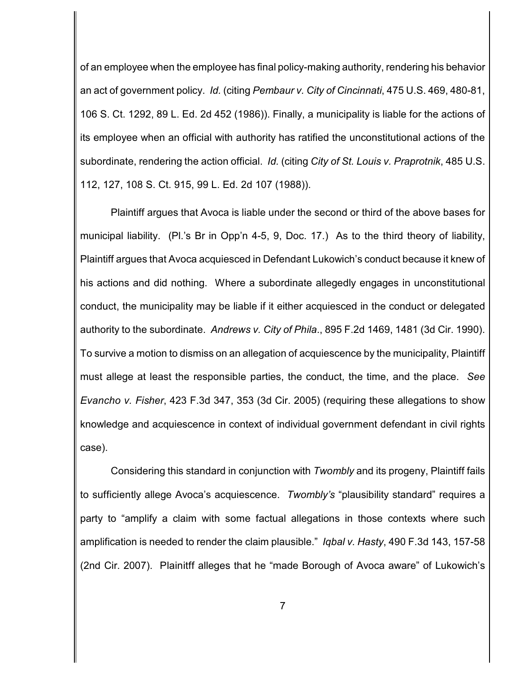of an employee when the employee has final policy-making authority, rendering his behavior an act of government policy. *Id.* (citing *Pembaur v. City of Cincinnati*, 475 U.S. 469, 480-81, 106 S. Ct. 1292, 89 L. Ed. 2d 452 (1986)). Finally, a municipality is liable for the actions of its employee when an official with authority has ratified the unconstitutional actions of the subordinate, rendering the action official. *Id.* (citing *City of St. Louis v. Praprotnik*, 485 U.S. 112, 127, 108 S. Ct. 915, 99 L. Ed. 2d 107 (1988)).

Plaintiff argues that Avoca is liable under the second or third of the above bases for municipal liability. (Pl.'s Br in Opp'n 4-5, 9, Doc. 17.) As to the third theory of liability, Plaintiff argues that Avoca acquiesced in Defendant Lukowich's conduct because it knew of his actions and did nothing. Where a subordinate allegedly engages in unconstitutional conduct, the municipality may be liable if it either acquiesced in the conduct or delegated authority to the subordinate. *Andrews v. City of Phila*., 895 F.2d 1469, 1481 (3d Cir. 1990). To survive a motion to dismiss on an allegation of acquiescence by the municipality, Plaintiff must allege at least the responsible parties, the conduct, the time, and the place. *See Evancho v. Fisher*, 423 F.3d 347, 353 (3d Cir. 2005) (requiring these allegations to show knowledge and acquiescence in context of individual government defendant in civil rights case).

Considering this standard in conjunction with *Twombly* and its progeny, Plaintiff fails to sufficiently allege Avoca's acquiescence. *Twombly's* "plausibility standard" requires a party to "amplify a claim with some factual allegations in those contexts where such amplification is needed to render the claim plausible." *Iqbal v. Hasty*, 490 F.3d 143, 157-58 (2nd Cir. 2007). Plainitff alleges that he "made Borough of Avoca aware" of Lukowich's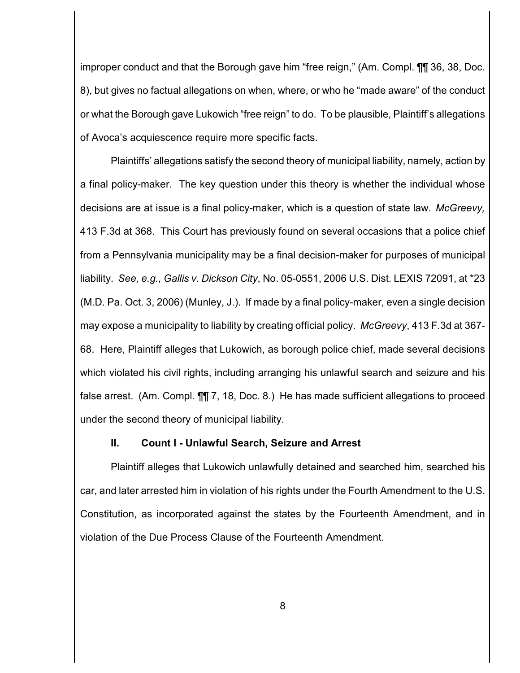improper conduct and that the Borough gave him "free reign," (Am. Compl. 11 36, 38, Doc. 8), but gives no factual allegations on when, where, or who he "made aware" of the conduct or what the Borough gave Lukowich "free reign" to do. To be plausible, Plaintiff's allegations of Avoca's acquiescence require more specific facts.

Plaintiffs' allegations satisfy the second theory of municipal liability, namely, action by a final policy-maker. The key question under this theory is whether the individual whose decisions are at issue is a final policy-maker, which is a question of state law. *McGreevy,* 413 F.3d at 368. This Court has previously found on several occasions that a police chief from a Pennsylvania municipality may be a final decision-maker for purposes of municipal liability. *See, e.g., Gallis v. Dickson City*, No. 05-0551, 2006 U.S. Dist. LEXIS 72091, at \*23 (M.D. Pa. Oct. 3, 2006) (Munley, J.). If made by a final policy-maker, even a single decision may expose a municipality to liability by creating official policy. *McGreevy*, 413 F.3d at 367- 68. Here, Plaintiff alleges that Lukowich, as borough police chief, made several decisions which violated his civil rights, including arranging his unlawful search and seizure and his false arrest. (Am. Compl. ¶¶ 7, 18, Doc. 8.) He has made sufficient allegations to proceed under the second theory of municipal liability.

### **II. Count I - Unlawful Search, Seizure and Arrest**

Plaintiff alleges that Lukowich unlawfully detained and searched him, searched his car, and later arrested him in violation of his rights under the Fourth Amendment to the U.S. Constitution, as incorporated against the states by the Fourteenth Amendment, and in violation of the Due Process Clause of the Fourteenth Amendment.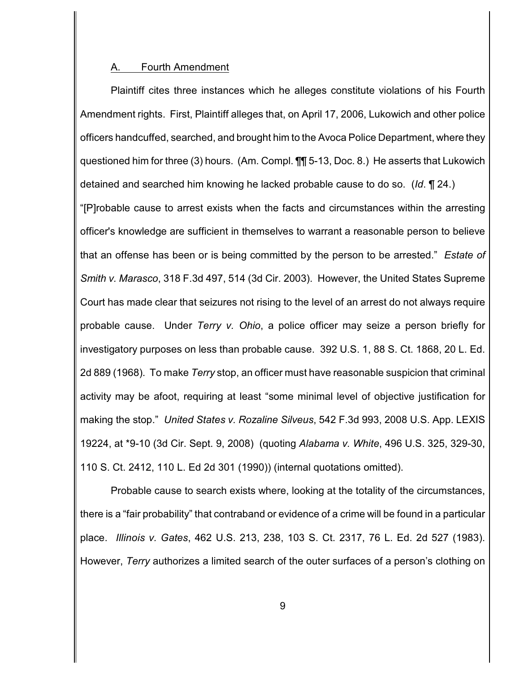#### A. Fourth Amendment

Plaintiff cites three instances which he alleges constitute violations of his Fourth Amendment rights. First, Plaintiff alleges that, on April 17, 2006, Lukowich and other police officers handcuffed, searched, and brought him to the Avoca Police Department, where they questioned him for three (3) hours. (Am. Compl. ¶¶ 5-13, Doc. 8.) He asserts that Lukowich detained and searched him knowing he lacked probable cause to do so. (*Id*. ¶ 24.) "[P]robable cause to arrest exists when the facts and circumstances within the arresting officer's knowledge are sufficient in themselves to warrant a reasonable person to believe that an offense has been or is being committed by the person to be arrested." *Estate of Smith v. Marasco*, 318 F.3d 497, 514 (3d Cir. 2003). However, the United States Supreme Court has made clear that seizures not rising to the level of an arrest do not always require probable cause. Under *Terry v. Ohio*, a police officer may seize a person briefly for investigatory purposes on less than probable cause. 392 U.S. 1, 88 S. Ct. 1868, 20 L. Ed. 2d 889 (1968). To make *Terry* stop, an officer must have reasonable suspicion that criminal activity may be afoot, requiring at least "some minimal level of objective justification for making the stop." *United States v. Rozaline Silveus*, 542 F.3d 993, 2008 U.S. App. LEXIS 19224, at \*9-10 (3d Cir. Sept. 9, 2008) (quoting *Alabama v. White*, 496 U.S. 325, 329-30, 110 S. Ct. 2412, 110 L. Ed 2d 301 (1990)) (internal quotations omitted).

Probable cause to search exists where, looking at the totality of the circumstances, there is a "fair probability" that contraband or evidence of a crime will be found in a particular place. *Illinois v. Gates*, 462 U.S. 213, 238, 103 S. Ct. 2317, 76 L. Ed. 2d 527 (1983). However, *Terry* authorizes a limited search of the outer surfaces of a person's clothing on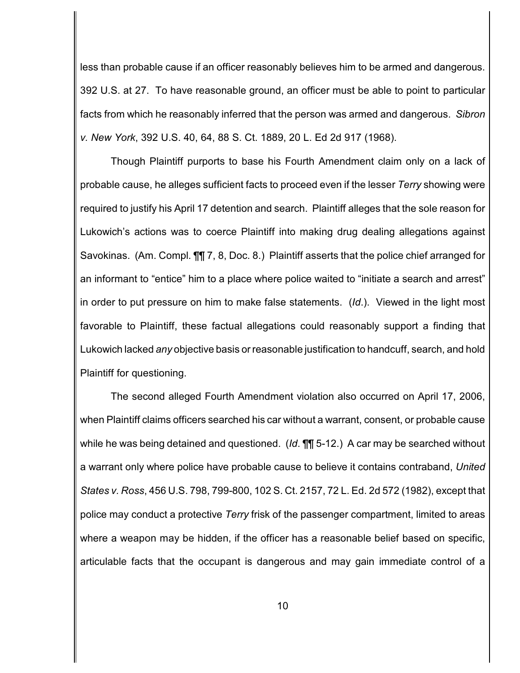less than probable cause if an officer reasonably believes him to be armed and dangerous. 392 U.S. at 27. To have reasonable ground, an officer must be able to point to particular facts from which he reasonably inferred that the person was armed and dangerous. *Sibron v. New York*, 392 U.S. 40, 64, 88 S. Ct. 1889, 20 L. Ed 2d 917 (1968).

Though Plaintiff purports to base his Fourth Amendment claim only on a lack of probable cause, he alleges sufficient facts to proceed even if the lesser *Terry* showing were required to justify his April 17 detention and search. Plaintiff alleges that the sole reason for Lukowich's actions was to coerce Plaintiff into making drug dealing allegations against Savokinas. (Am. Compl. ¶¶ 7, 8, Doc. 8.) Plaintiff asserts that the police chief arranged for an informant to "entice" him to a place where police waited to "initiate a search and arrest" in order to put pressure on him to make false statements. (*Id*.). Viewed in the light most favorable to Plaintiff, these factual allegations could reasonably support a finding that Lukowich lacked *any* objective basis or reasonable justification to handcuff, search, and hold Plaintiff for questioning.

The second alleged Fourth Amendment violation also occurred on April 17, 2006, when Plaintiff claims officers searched his car without a warrant, consent, or probable cause while he was being detained and questioned. (*Id*. ¶¶ 5-12.) A car may be searched without a warrant only where police have probable cause to believe it contains contraband, *United States v. Ross*, 456 U.S. 798, 799-800, 102 S. Ct. 2157, 72 L. Ed. 2d 572 (1982), except that police may conduct a protective *Terry* frisk of the passenger compartment, limited to areas where a weapon may be hidden, if the officer has a reasonable belief based on specific, articulable facts that the occupant is dangerous and may gain immediate control of a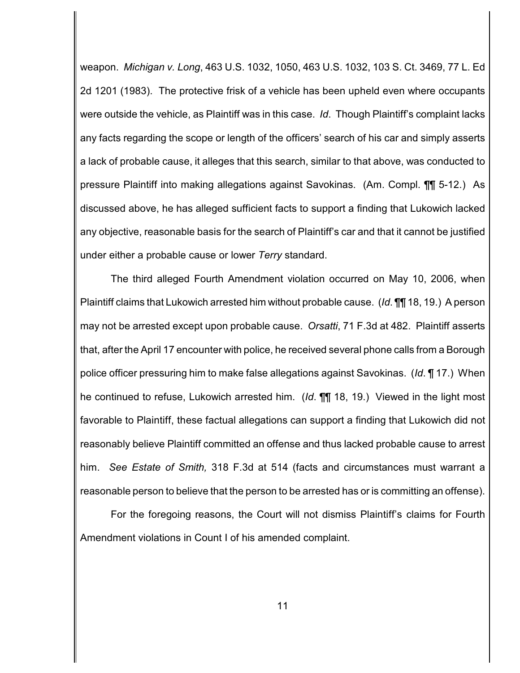weapon. *Michigan v. Long*, 463 U.S. 1032, 1050, 463 U.S. 1032, 103 S. Ct. 3469, 77 L. Ed 2d 1201 (1983). The protective frisk of a vehicle has been upheld even where occupants were outside the vehicle, as Plaintiff was in this case. *Id*. Though Plaintiff's complaint lacks any facts regarding the scope or length of the officers' search of his car and simply asserts a lack of probable cause, it alleges that this search, similar to that above, was conducted to pressure Plaintiff into making allegations against Savokinas. (Am. Compl. ¶¶ 5-12.) As discussed above, he has alleged sufficient facts to support a finding that Lukowich lacked any objective, reasonable basis for the search of Plaintiff's car and that it cannot be justified under either a probable cause or lower *Terry* standard.

The third alleged Fourth Amendment violation occurred on May 10, 2006, when Plaintiff claims that Lukowich arrested him without probable cause. (*Id*. ¶¶ 18, 19.) A person may not be arrested except upon probable cause. *Orsatti*, 71 F.3d at 482. Plaintiff asserts that, after the April 17 encounter with police, he received several phone calls from a Borough police officer pressuring him to make false allegations against Savokinas. (*Id*. ¶ 17.) When he continued to refuse, Lukowich arrested him. (*Id*. ¶¶ 18, 19.) Viewed in the light most favorable to Plaintiff, these factual allegations can support a finding that Lukowich did not reasonably believe Plaintiff committed an offense and thus lacked probable cause to arrest him. *See Estate of Smith,* 318 F.3d at 514 (facts and circumstances must warrant a reasonable person to believe that the person to be arrested has or is committing an offense).

For the foregoing reasons, the Court will not dismiss Plaintiff's claims for Fourth Amendment violations in Count I of his amended complaint.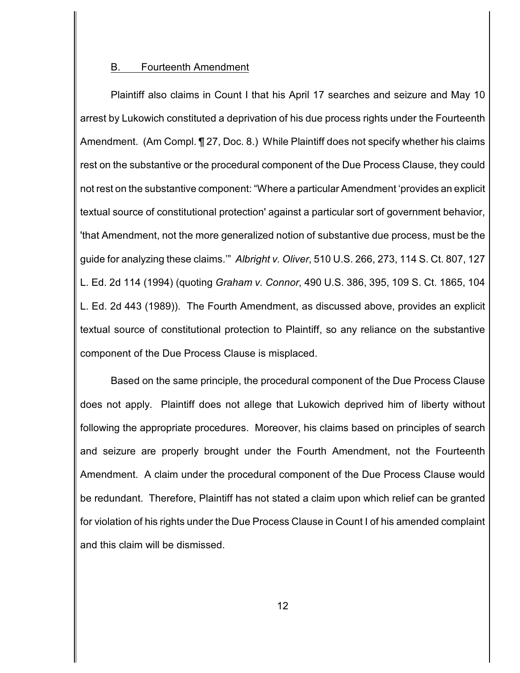#### B. Fourteenth Amendment

Plaintiff also claims in Count I that his April 17 searches and seizure and May 10 arrest by Lukowich constituted a deprivation of his due process rights under the Fourteenth Amendment. (Am Compl. ¶ 27, Doc. 8.) While Plaintiff does not specify whether his claims rest on the substantive or the procedural component of the Due Process Clause, they could not rest on the substantive component: "Where a particular Amendment 'provides an explicit textual source of constitutional protection' against a particular sort of government behavior, 'that Amendment, not the more generalized notion of substantive due process, must be the guide for analyzing these claims.'" *Albright v. Oliver*, 510 U.S. 266, 273, 114 S. Ct. 807, 127 L. Ed. 2d 114 (1994) (quoting *Graham v. Connor*, 490 U.S. 386, 395, 109 S. Ct. 1865, 104 L. Ed. 2d 443 (1989)). The Fourth Amendment, as discussed above, provides an explicit textual source of constitutional protection to Plaintiff, so any reliance on the substantive component of the Due Process Clause is misplaced.

Based on the same principle, the procedural component of the Due Process Clause does not apply. Plaintiff does not allege that Lukowich deprived him of liberty without following the appropriate procedures. Moreover, his claims based on principles of search and seizure are properly brought under the Fourth Amendment, not the Fourteenth Amendment. A claim under the procedural component of the Due Process Clause would be redundant. Therefore, Plaintiff has not stated a claim upon which relief can be granted for violation of his rights under the Due Process Clause in Count I of his amended complaint and this claim will be dismissed.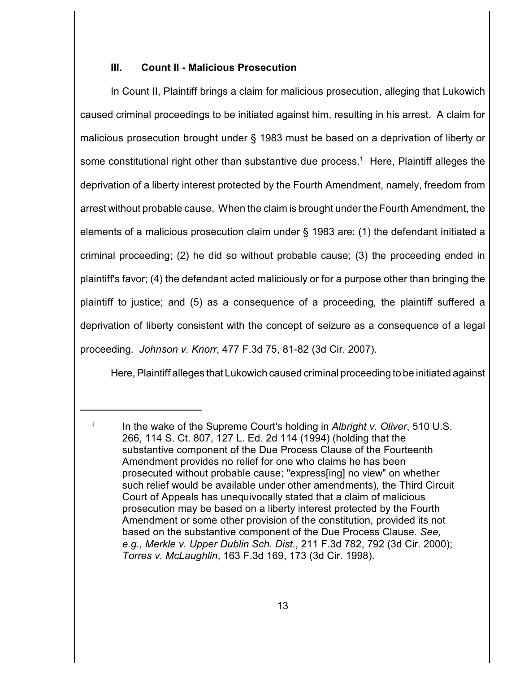## **III. Count II - Malicious Prosecution**

In Count II, Plaintiff brings a claim for malicious prosecution, alleging that Lukowich caused criminal proceedings to be initiated against him, resulting in his arrest. A claim for malicious prosecution brought under § 1983 must be based on a deprivation of liberty or some constitutional right other than substantive due process.<sup>1</sup> Here, Plaintiff alleges the deprivation of a liberty interest protected by the Fourth Amendment, namely, freedom from arrest without probable cause. When the claim is brought under the Fourth Amendment, the elements of a malicious prosecution claim under § 1983 are: (1) the defendant initiated a criminal proceeding; (2) he did so without probable cause; (3) the proceeding ended in plaintiff's favor; (4) the defendant acted maliciously or for a purpose other than bringing the plaintiff to justice; and (5) as a consequence of a proceeding, the plaintiff suffered a deprivation of liberty consistent with the concept of seizure as a consequence of a legal proceeding. *Johnson v. Knorr*, 477 F.3d 75, 81-82 (3d Cir. 2007).

Here, Plaintiff alleges that Lukowich caused criminal proceeding to be initiated against

 $\frac{1}{1}$  In the wake of the Supreme Court's holding in *Albright v. Oliver*, 510 U.S. 266, 114 S. Ct. 807, 127 L. Ed. 2d 114 (1994) (holding that the substantive component of the Due Process Clause of the Fourteenth Amendment provides no relief for one who claims he has been prosecuted without probable cause; "express[ing] no view" on whether such relief would be available under other amendments), the Third Circuit Court of Appeals has unequivocally stated that a claim of malicious prosecution may be based on a liberty interest protected by the Fourth Amendment or some other provision of the constitution, provided its not based on the substantive component of the Due Process Clause. *See, e.g., Merkle v. Upper Dublin Sch. Dist.*, 211 F.3d 782, 792 (3d Cir. 2000); *Torres v. McLaughlin*, 163 F.3d 169, 173 (3d Cir. 1998).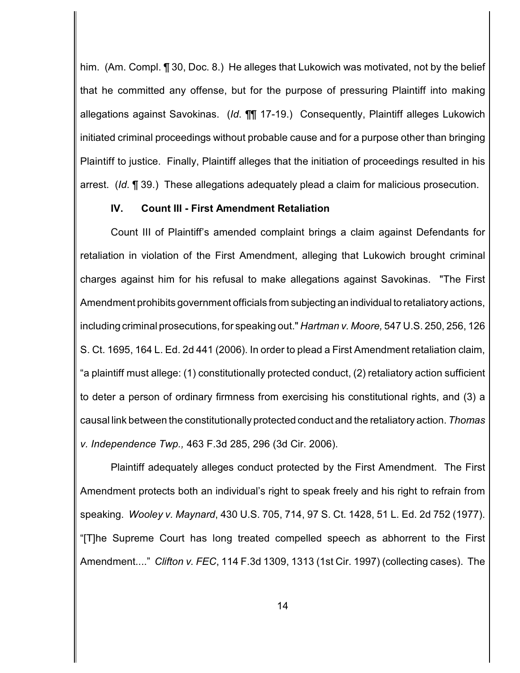him. (Am. Compl. ¶ 30, Doc. 8.) He alleges that Lukowich was motivated, not by the belief that he committed any offense, but for the purpose of pressuring Plaintiff into making allegations against Savokinas. (*Id*. ¶¶ 17-19.) Consequently, Plaintiff alleges Lukowich initiated criminal proceedings without probable cause and for a purpose other than bringing Plaintiff to justice. Finally, Plaintiff alleges that the initiation of proceedings resulted in his arrest. (*Id*. ¶ 39.) These allegations adequately plead a claim for malicious prosecution.

### **IV. Count III - First Amendment Retaliation**

Count III of Plaintiff's amended complaint brings a claim against Defendants for retaliation in violation of the First Amendment, alleging that Lukowich brought criminal charges against him for his refusal to make allegations against Savokinas. "The First Amendment prohibits government officials from subjecting an individual to retaliatory actions, including criminal prosecutions, for speaking out." *Hartman v. Moore,* 547 U.S. 250, 256, 126 S. Ct. 1695, 164 L. Ed. 2d 441 (2006). In order to plead a First Amendment retaliation claim, "a plaintiff must allege: (1) constitutionally protected conduct, (2) retaliatory action sufficient to deter a person of ordinary firmness from exercising his constitutional rights, and (3) a causal link between the constitutionally protected conduct and the retaliatory action. *Thomas v. Independence Twp.,* 463 F.3d 285, 296 (3d Cir. 2006).

Plaintiff adequately alleges conduct protected by the First Amendment. The First Amendment protects both an individual's right to speak freely and his right to refrain from speaking. *Wooley v. Maynard*, 430 U.S. 705, 714, 97 S. Ct. 1428, 51 L. Ed. 2d 752 (1977). "[T]he Supreme Court has long treated compelled speech as abhorrent to the First Amendment...." *Clifton v. FEC*, 114 F.3d 1309, 1313 (1st Cir. 1997) (collecting cases). The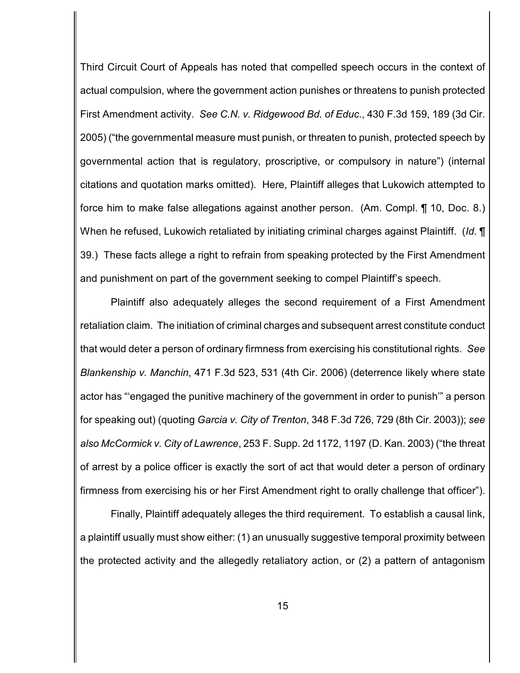Third Circuit Court of Appeals has noted that compelled speech occurs in the context of actual compulsion, where the government action punishes or threatens to punish protected First Amendment activity. *See C.N. v. Ridgewood Bd. of Educ*., 430 F.3d 159, 189 (3d Cir. 2005) ("the governmental measure must punish, or threaten to punish, protected speech by governmental action that is regulatory, proscriptive, or compulsory in nature") (internal citations and quotation marks omitted). Here, Plaintiff alleges that Lukowich attempted to force him to make false allegations against another person. (Am. Compl. ¶ 10, Doc. 8.) When he refused, Lukowich retaliated by initiating criminal charges against Plaintiff. (*Id.* ¶ 39.) These facts allege a right to refrain from speaking protected by the First Amendment and punishment on part of the government seeking to compel Plaintiff's speech.

Plaintiff also adequately alleges the second requirement of a First Amendment retaliation claim. The initiation of criminal charges and subsequent arrest constitute conduct that would deter a person of ordinary firmness from exercising his constitutional rights. *See Blankenship v. Manchin*, 471 F.3d 523, 531 (4th Cir. 2006) (deterrence likely where state actor has "'engaged the punitive machinery of the government in order to punish'" a person for speaking out) (quoting *Garcia v. City of Trenton*, 348 F.3d 726, 729 (8th Cir. 2003)); *see also McCormick v. City of Lawrence*, 253 F. Supp. 2d 1172, 1197 (D. Kan. 2003) ("the threat of arrest by a police officer is exactly the sort of act that would deter a person of ordinary firmness from exercising his or her First Amendment right to orally challenge that officer").

Finally, Plaintiff adequately alleges the third requirement. To establish a causal link, a plaintiff usually must show either: (1) an unusually suggestive temporal proximity between the protected activity and the allegedly retaliatory action, or (2) a pattern of antagonism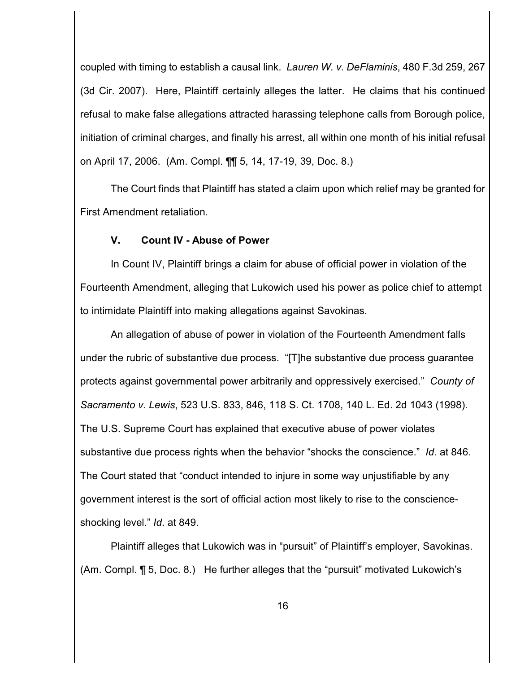coupled with timing to establish a causal link. *Lauren W. v. DeFlaminis*, 480 F.3d 259, 267 (3d Cir. 2007). Here, Plaintiff certainly alleges the latter. He claims that his continued refusal to make false allegations attracted harassing telephone calls from Borough police, initiation of criminal charges, and finally his arrest, all within one month of his initial refusal on April 17, 2006. (Am. Compl. ¶¶ 5, 14, 17-19, 39, Doc. 8.)

The Court finds that Plaintiff has stated a claim upon which relief may be granted for First Amendment retaliation.

## **V. Count IV - Abuse of Power**

In Count IV, Plaintiff brings a claim for abuse of official power in violation of the Fourteenth Amendment, alleging that Lukowich used his power as police chief to attempt to intimidate Plaintiff into making allegations against Savokinas.

An allegation of abuse of power in violation of the Fourteenth Amendment falls under the rubric of substantive due process. "[T]he substantive due process guarantee protects against governmental power arbitrarily and oppressively exercised." *County of Sacramento v. Lewis*, 523 U.S. 833, 846, 118 S. Ct. 1708, 140 L. Ed. 2d 1043 (1998). The U.S. Supreme Court has explained that executive abuse of power violates substantive due process rights when the behavior "shocks the conscience." *Id*. at 846. The Court stated that "conduct intended to injure in some way unjustifiable by any government interest is the sort of official action most likely to rise to the conscienceshocking level." *Id*. at 849.

Plaintiff alleges that Lukowich was in "pursuit" of Plaintiff's employer, Savokinas. (Am. Compl. ¶ 5, Doc. 8.) He further alleges that the "pursuit" motivated Lukowich's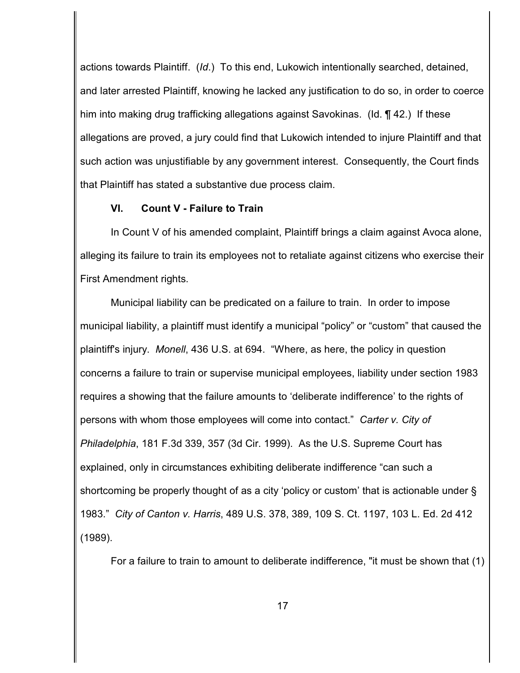actions towards Plaintiff. (*Id*.) To this end, Lukowich intentionally searched, detained, and later arrested Plaintiff, knowing he lacked any justification to do so, in order to coerce him into making drug trafficking allegations against Savokinas. (Id. 142.) If these allegations are proved, a jury could find that Lukowich intended to injure Plaintiff and that such action was unjustifiable by any government interest. Consequently, the Court finds that Plaintiff has stated a substantive due process claim.

## **VI. Count V - Failure to Train**

In Count V of his amended complaint, Plaintiff brings a claim against Avoca alone, alleging its failure to train its employees not to retaliate against citizens who exercise their First Amendment rights.

Municipal liability can be predicated on a failure to train. In order to impose municipal liability, a plaintiff must identify a municipal "policy" or "custom" that caused the plaintiff's injury. *Monell*, 436 U.S. at 694. "Where, as here, the policy in question concerns a failure to train or supervise municipal employees, liability under section 1983 requires a showing that the failure amounts to 'deliberate indifference' to the rights of persons with whom those employees will come into contact." *Carter v. City of Philadelphia*, 181 F.3d 339, 357 (3d Cir. 1999). As the U.S. Supreme Court has explained, only in circumstances exhibiting deliberate indifference "can such a shortcoming be properly thought of as a city 'policy or custom' that is actionable under § 1983." *City of Canton v. Harris*, 489 U.S. 378, 389, 109 S. Ct. 1197, 103 L. Ed. 2d 412 (1989).

For a failure to train to amount to deliberate indifference, "it must be shown that (1)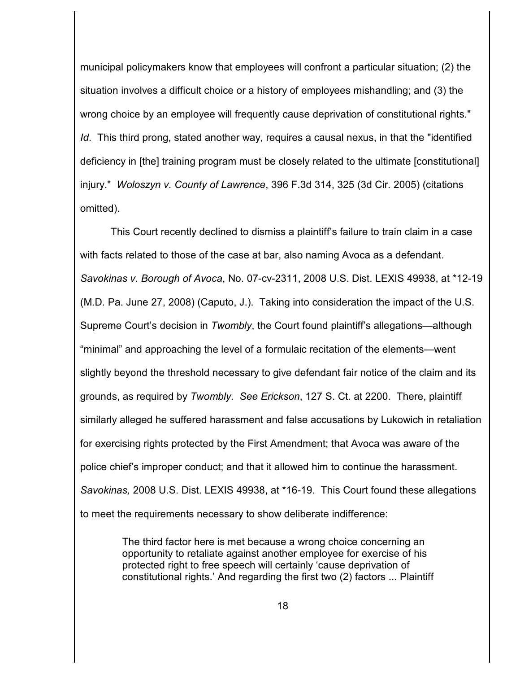municipal policymakers know that employees will confront a particular situation; (2) the situation involves a difficult choice or a history of employees mishandling; and (3) the wrong choice by an employee will frequently cause deprivation of constitutional rights." *Id*. This third prong, stated another way, requires a causal nexus, in that the "identified deficiency in [the] training program must be closely related to the ultimate [constitutional] injury." *Woloszyn v. County of Lawrence*, 396 F.3d 314, 325 (3d Cir. 2005) (citations omitted).

This Court recently declined to dismiss a plaintiff's failure to train claim in a case with facts related to those of the case at bar, also naming Avoca as a defendant. *Savokinas v. Borough of Avoca*, No. 07-cv-2311, 2008 U.S. Dist. LEXIS 49938, at \*12-19 (M.D. Pa. June 27, 2008) (Caputo, J.). Taking into consideration the impact of the U.S. Supreme Court's decision in *Twombly*, the Court found plaintiff's allegations—although "minimal" and approaching the level of a formulaic recitation of the elements—went slightly beyond the threshold necessary to give defendant fair notice of the claim and its grounds, as required by *Twombly*. *See Erickson*, 127 S. Ct. at 2200. There, plaintiff similarly alleged he suffered harassment and false accusations by Lukowich in retaliation for exercising rights protected by the First Amendment; that Avoca was aware of the police chief's improper conduct; and that it allowed him to continue the harassment. *Savokinas,* 2008 U.S. Dist. LEXIS 49938, at \*16-19. This Court found these allegations to meet the requirements necessary to show deliberate indifference:

> The third factor here is met because a wrong choice concerning an opportunity to retaliate against another employee for exercise of his protected right to free speech will certainly 'cause deprivation of constitutional rights.' And regarding the first two (2) factors ... Plaintiff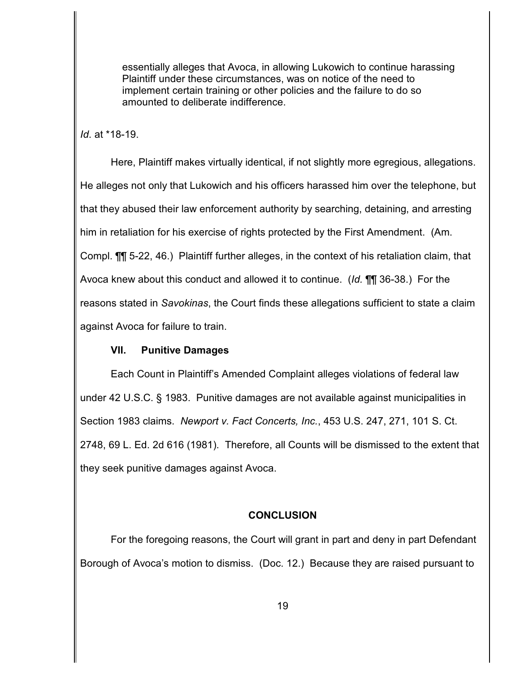essentially alleges that Avoca, in allowing Lukowich to continue harassing Plaintiff under these circumstances, was on notice of the need to implement certain training or other policies and the failure to do so amounted to deliberate indifference.

*Id*. at \*18-19.

Here, Plaintiff makes virtually identical, if not slightly more egregious, allegations. He alleges not only that Lukowich and his officers harassed him over the telephone, but that they abused their law enforcement authority by searching, detaining, and arresting him in retaliation for his exercise of rights protected by the First Amendment. (Am. Compl. ¶¶ 5-22, 46.) Plaintiff further alleges, in the context of his retaliation claim, that Avoca knew about this conduct and allowed it to continue. (*Id.* ¶¶ 36-38.) For the reasons stated in *Savokinas*, the Court finds these allegations sufficient to state a claim against Avoca for failure to train.

# **VII. Punitive Damages**

Each Count in Plaintiff's Amended Complaint alleges violations of federal law under 42 U.S.C. § 1983. Punitive damages are not available against municipalities in Section 1983 claims. *Newport v. Fact Concerts, Inc.*, 453 U.S. 247, 271, 101 S. Ct. 2748, 69 L. Ed. 2d 616 (1981). Therefore, all Counts will be dismissed to the extent that they seek punitive damages against Avoca.

# **CONCLUSION**

For the foregoing reasons, the Court will grant in part and deny in part Defendant Borough of Avoca's motion to dismiss. (Doc. 12.) Because they are raised pursuant to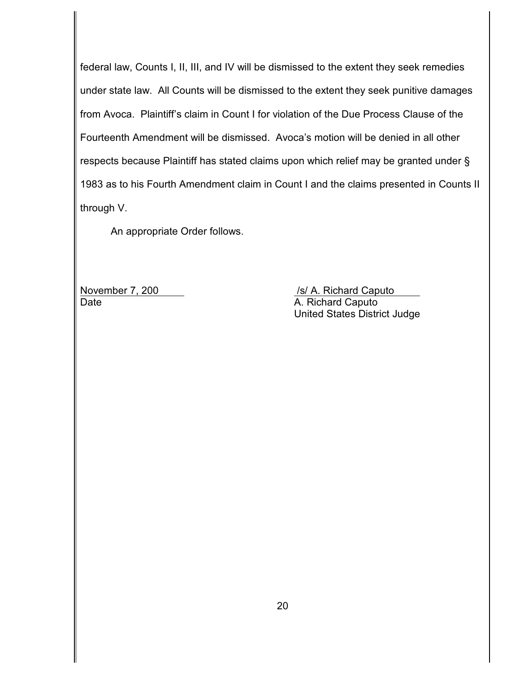federal law, Counts I, II, III, and IV will be dismissed to the extent they seek remedies under state law. All Counts will be dismissed to the extent they seek punitive damages from Avoca. Plaintiff's claim in Count I for violation of the Due Process Clause of the Fourteenth Amendment will be dismissed. Avoca's motion will be denied in all other respects because Plaintiff has stated claims upon which relief may be granted under § 1983 as to his Fourth Amendment claim in Count I and the claims presented in Counts II through V.

An appropriate Order follows.

Date **Date** A. Richard Caputo

November 7, 200 /s/ A. Richard Caputo United States District Judge